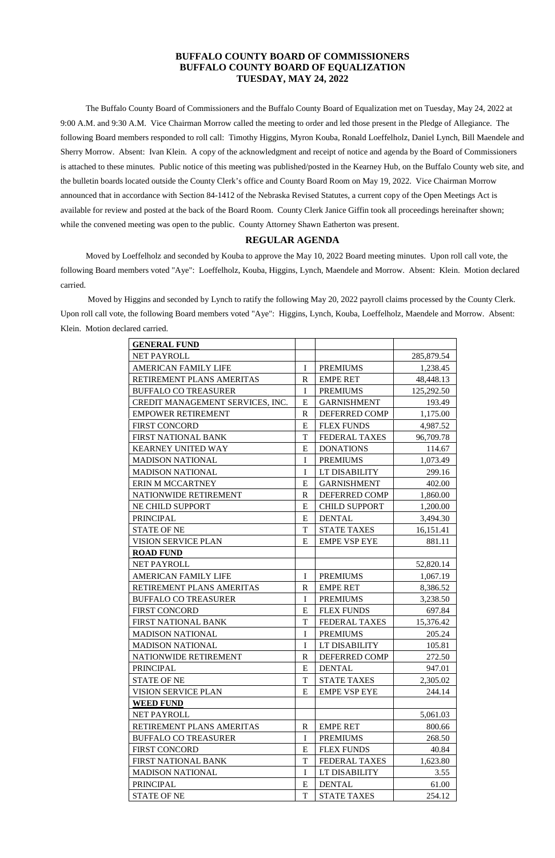# **BUFFALO COUNTY BOARD OF COMMISSIONERS BUFFALO COUNTY BOARD OF EQUALIZATION TUESDAY, MAY 24, 2022**

The Buffalo County Board of Commissioners and the Buffalo County Board of Equalization met on Tuesday, May 24, 2022 at 9:00 A.M. and 9:30 A.M. Vice Chairman Morrow called the meeting to order and led those present in the Pledge of Allegiance. The following Board members responded to roll call: Timothy Higgins, Myron Kouba, Ronald Loeffelholz, Daniel Lynch, Bill Maendele and Sherry Morrow. Absent: Ivan Klein. A copy of the acknowledgment and receipt of notice and agenda by the Board of Commissioners is attached to these minutes. Public notice of this meeting was published/posted in the Kearney Hub, on the Buffalo County web site, and the bulletin boards located outside the County Clerk's office and County Board Room on May 19, 2022. Vice Chairman Morrow announced that in accordance with Section 84-1412 of the Nebraska Revised Statutes, a current copy of the Open Meetings Act is available for review and posted at the back of the Board Room. County Clerk Janice Giffin took all proceedings hereinafter shown; while the convened meeting was open to the public. County Attorney Shawn Eatherton was present.

## **REGULAR AGENDA**

Moved by Loeffelholz and seconded by Kouba to approve the May 10, 2022 Board meeting minutes. Upon roll call vote, the following Board members voted "Aye": Loeffelholz, Kouba, Higgins, Lynch, Maendele and Morrow. Absent: Klein. Motion declared carried.

Moved by Higgins and seconded by Lynch to ratify the following May 20, 2022 payroll claims processed by the County Clerk. Upon roll call vote, the following Board members voted "Aye": Higgins, Lynch, Kouba, Loeffelholz, Maendele and Morrow. Absent: Klein. Motion declared carried.

| <b>GENERAL FUND</b>              |             |                      |            |
|----------------------------------|-------------|----------------------|------------|
| NET PAYROLL                      |             |                      | 285,879.54 |
| <b>AMERICAN FAMILY LIFE</b>      | $\mathbf I$ | <b>PREMIUMS</b>      | 1,238.45   |
| RETIREMENT PLANS AMERITAS        | $\mathbf R$ | <b>EMPE RET</b>      | 48,448.13  |
| <b>BUFFALO CO TREASURER</b>      | $\mathbf I$ | <b>PREMIUMS</b>      | 125,292.50 |
| CREDIT MANAGEMENT SERVICES, INC. | E           | <b>GARNISHMENT</b>   | 193.49     |
| <b>EMPOWER RETIREMENT</b>        | $\mathbf R$ | <b>DEFERRED COMP</b> | 1,175.00   |
| <b>FIRST CONCORD</b>             | E           | <b>FLEX FUNDS</b>    | 4,987.52   |
| <b>FIRST NATIONAL BANK</b>       | T           | <b>FEDERAL TAXES</b> | 96,709.78  |
| <b>KEARNEY UNITED WAY</b>        | E           | <b>DONATIONS</b>     | 114.67     |
| <b>MADISON NATIONAL</b>          | $\mathbf I$ | <b>PREMIUMS</b>      | 1,073.49   |
| <b>MADISON NATIONAL</b>          | I           | LT DISABILITY        | 299.16     |
| <b>ERIN M MCCARTNEY</b>          | E           | <b>GARNISHMENT</b>   | 402.00     |
| NATIONWIDE RETIREMENT            | $\mathbf R$ | DEFERRED COMP        | 1,860.00   |
| <b>NE CHILD SUPPORT</b>          | E           | <b>CHILD SUPPORT</b> | 1,200.00   |
| <b>PRINCIPAL</b>                 | E           | <b>DENTAL</b>        | 3,494.30   |
| <b>STATE OF NE</b>               | T           | <b>STATE TAXES</b>   | 16,151.41  |
| <b>VISION SERVICE PLAN</b>       | E           | <b>EMPE VSP EYE</b>  | 881.11     |
| <b>ROAD FUND</b>                 |             |                      |            |
| NET PAYROLL                      |             |                      | 52,820.14  |
| <b>AMERICAN FAMILY LIFE</b>      | $\mathbf I$ | <b>PREMIUMS</b>      | 1,067.19   |
| RETIREMENT PLANS AMERITAS        | $\mathbf R$ | <b>EMPE RET</b>      | 8,386.52   |
| <b>BUFFALO CO TREASURER</b>      | I           | <b>PREMIUMS</b>      | 3,238.50   |
| <b>FIRST CONCORD</b>             | E           | <b>FLEX FUNDS</b>    | 697.84     |
| FIRST NATIONAL BANK              | T           | <b>FEDERAL TAXES</b> | 15,376.42  |
| <b>MADISON NATIONAL</b>          | $\mathbf I$ | <b>PREMIUMS</b>      | 205.24     |
| <b>MADISON NATIONAL</b>          | I           | LT DISABILITY        | 105.81     |
| NATIONWIDE RETIREMENT            | $\mathbf R$ | DEFERRED COMP        | 272.50     |
| <b>PRINCIPAL</b>                 | E           | <b>DENTAL</b>        | 947.01     |
| <b>STATE OF NE</b>               | T           | <b>STATE TAXES</b>   | 2,305.02   |
| <b>VISION SERVICE PLAN</b>       | E           | <b>EMPE VSP EYE</b>  | 244.14     |
| <b>WEED FUND</b>                 |             |                      |            |
| NET PAYROLL                      |             |                      | 5,061.03   |
| RETIREMENT PLANS AMERITAS        | $\mathbf R$ | <b>EMPE RET</b>      | 800.66     |
| <b>BUFFALO CO TREASURER</b>      | $\mathbf I$ | <b>PREMIUMS</b>      | 268.50     |
| <b>FIRST CONCORD</b>             | E           | <b>FLEX FUNDS</b>    | 40.84      |
| FIRST NATIONAL BANK              | T           | <b>FEDERAL TAXES</b> | 1,623.80   |
| <b>MADISON NATIONAL</b>          | $\bf{I}$    | LT DISABILITY        | 3.55       |
| <b>PRINCIPAL</b>                 | E           | <b>DENTAL</b>        | 61.00      |
| <b>STATE OF NE</b>               | $\mathbf T$ | <b>STATE TAXES</b>   | 254.12     |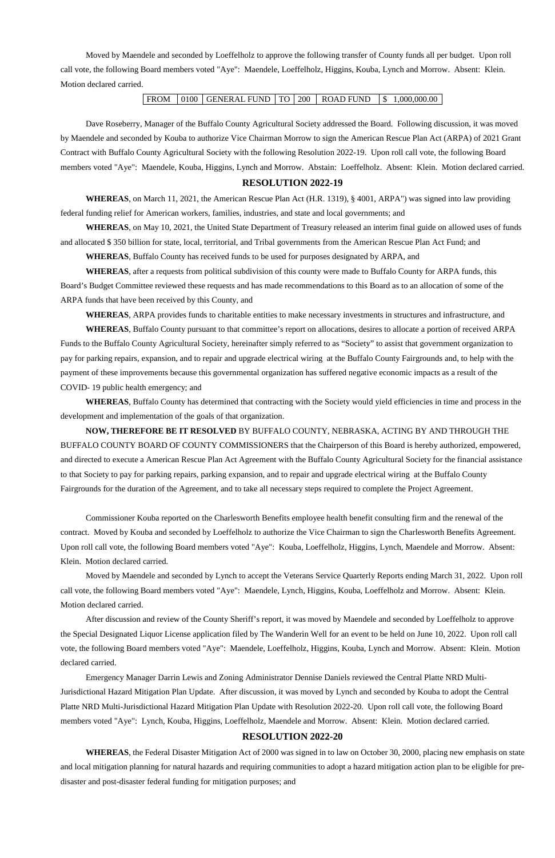Moved by Maendele and seconded by Loeffelholz to approve the following transfer of County funds all per budget. Upon roll call vote, the following Board members voted "Aye": Maendele, Loeffelholz, Higgins, Kouba, Lynch and Morrow. Absent: Klein. Motion declared carried.

FROM 0100 GENERAL FUND TO 200 ROAD FUND \$ 1,000,000.00

Dave Roseberry, Manager of the Buffalo County Agricultural Society addressed the Board. Following discussion, it was moved by Maendele and seconded by Kouba to authorize Vice Chairman Morrow to sign the American Rescue Plan Act (ARPA) of 2021 Grant Contract with Buffalo County Agricultural Society with the following Resolution 2022-19. Upon roll call vote, the following Board members voted "Aye": Maendele, Kouba, Higgins, Lynch and Morrow. Abstain: Loeffelholz. Absent: Klein. Motion declared carried.

## **RESOLUTION 2022-19**

**WHEREAS**, on March 11, 2021, the American Rescue Plan Act (H.R. 1319), § 4001, ARPA") was signed into law providing federal funding relief for American workers, families, industries, and state and local governments; and

**WHEREAS**, on May 10, 2021, the United State Department of Treasury released an interim final guide on allowed uses of funds and allocated \$ 350 billion for state, local, territorial, and Tribal governments from the American Rescue Plan Act Fund; and

**WHEREAS**, Buffalo County has received funds to be used for purposes designated by ARPA, and

**WHEREAS**, after a requests from political subdivision of this county were made to Buffalo County for ARPA funds, this Board's Budget Committee reviewed these requests and has made recommendations to this Board as to an allocation of some of the ARPA funds that have been received by this County, and

**WHEREAS**, ARPA provides funds to charitable entities to make necessary investments in structures and infrastructure, and

**WHEREAS**, Buffalo County pursuant to that committee's report on allocations, desires to allocate a portion of received ARPA Funds to the Buffalo County Agricultural Society, hereinafter simply referred to as "Society" to assist that government organization to pay for parking repairs, expansion, and to repair and upgrade electrical wiring at the Buffalo County Fairgrounds and, to help with the payment of these improvements because this governmental organization has suffered negative economic impacts as a result of the COVID- 19 public health emergency; and

**WHEREAS**, Buffalo County has determined that contracting with the Society would yield efficiencies in time and process in the development and implementation of the goals of that organization.

**NOW, THEREFORE BE IT RESOLVED** BY BUFFALO COUNTY, NEBRASKA, ACTING BY AND THROUGH THE BUFFALO COUNTY BOARD OF COUNTY COMMISSIONERS that the Chairperson of this Board is hereby authorized, empowered, and directed to execute a American Rescue Plan Act Agreement with the Buffalo County Agricultural Society for the financial assistance to that Society to pay for parking repairs, parking expansion, and to repair and upgrade electrical wiring at the Buffalo County Fairgrounds for the duration of the Agreement, and to take all necessary steps required to complete the Project Agreement.

Commissioner Kouba reported on the Charlesworth Benefits employee health benefit consulting firm and the renewal of the contract. Moved by Kouba and seconded by Loeffelholz to authorize the Vice Chairman to sign the Charlesworth Benefits Agreement. Upon roll call vote, the following Board members voted "Aye": Kouba, Loeffelholz, Higgins, Lynch, Maendele and Morrow. Absent: Klein. Motion declared carried.

Moved by Maendele and seconded by Lynch to accept the Veterans Service Quarterly Reports ending March 31, 2022. Upon roll call vote, the following Board members voted "Aye": Maendele, Lynch, Higgins, Kouba, Loeffelholz and Morrow. Absent: Klein. Motion declared carried.

After discussion and review of the County Sheriff's report, it was moved by Maendele and seconded by Loeffelholz to approve

the Special Designated Liquor License application filed by The Wanderin Well for an event to be held on June 10, 2022. Upon roll call vote, the following Board members voted "Aye": Maendele, Loeffelholz, Higgins, Kouba, Lynch and Morrow. Absent: Klein. Motion declared carried.

Emergency Manager Darrin Lewis and Zoning Administrator Dennise Daniels reviewed the Central Platte NRD Multi-Jurisdictional Hazard Mitigation Plan Update. After discussion, it was moved by Lynch and seconded by Kouba to adopt the Central Platte NRD Multi-Jurisdictional Hazard Mitigation Plan Update with Resolution 2022-20. Upon roll call vote, the following Board members voted "Aye": Lynch, Kouba, Higgins, Loeffelholz, Maendele and Morrow. Absent: Klein. Motion declared carried. **RESOLUTION 2022-20**

**WHEREAS**, the Federal Disaster Mitigation Act of 2000 was signed in to law on October 30, 2000, placing new emphasis on state and local mitigation planning for natural hazards and requiring communities to adopt a hazard mitigation action plan to be eligible for predisaster and post-disaster federal funding for mitigation purposes; and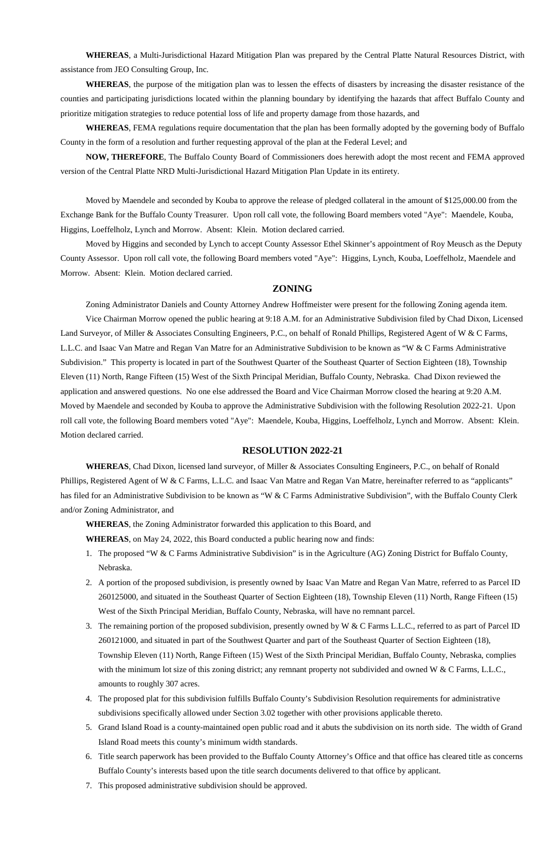**WHEREAS**, a Multi-Jurisdictional Hazard Mitigation Plan was prepared by the Central Platte Natural Resources District, with assistance from JEO Consulting Group, Inc.

**WHEREAS**, the purpose of the mitigation plan was to lessen the effects of disasters by increasing the disaster resistance of the counties and participating jurisdictions located within the planning boundary by identifying the hazards that affect Buffalo County and prioritize mitigation strategies to reduce potential loss of life and property damage from those hazards, and

**WHEREAS**, FEMA regulations require documentation that the plan has been formally adopted by the governing body of Buffalo County in the form of a resolution and further requesting approval of the plan at the Federal Level; and

**NOW, THEREFORE**, The Buffalo County Board of Commissioners does herewith adopt the most recent and FEMA approved version of the Central Platte NRD Multi-Jurisdictional Hazard Mitigation Plan Update in its entirety.

Moved by Maendele and seconded by Kouba to approve the release of pledged collateral in the amount of \$125,000.00 from the Exchange Bank for the Buffalo County Treasurer. Upon roll call vote, the following Board members voted "Aye": Maendele, Kouba, Higgins, Loeffelholz, Lynch and Morrow. Absent: Klein. Motion declared carried.

Moved by Higgins and seconded by Lynch to accept County Assessor Ethel Skinner's appointment of Roy Meusch as the Deputy County Assessor. Upon roll call vote, the following Board members voted "Aye": Higgins, Lynch, Kouba, Loeffelholz, Maendele and Morrow. Absent: Klein. Motion declared carried.

#### **ZONING**

Zoning Administrator Daniels and County Attorney Andrew Hoffmeister were present for the following Zoning agenda item.

Vice Chairman Morrow opened the public hearing at 9:18 A.M. for an Administrative Subdivision filed by Chad Dixon, Licensed Land Surveyor, of Miller & Associates Consulting Engineers, P.C., on behalf of Ronald Phillips, Registered Agent of W & C Farms, L.L.C. and Isaac Van Matre and Regan Van Matre for an Administrative Subdivision to be known as "W & C Farms Administrative Subdivision." This property is located in part of the Southwest Quarter of the Southeast Quarter of Section Eighteen (18), Township Eleven (11) North, Range Fifteen (15) West of the Sixth Principal Meridian, Buffalo County, Nebraska. Chad Dixon reviewed the application and answered questions. No one else addressed the Board and Vice Chairman Morrow closed the hearing at 9:20 A.M. Moved by Maendele and seconded by Kouba to approve the Administrative Subdivision with the following Resolution 2022-21. Upon roll call vote, the following Board members voted "Aye": Maendele, Kouba, Higgins, Loeffelholz, Lynch and Morrow. Absent: Klein. Motion declared carried.

#### **RESOLUTION 2022-21**

**WHEREAS**, Chad Dixon, licensed land surveyor, of Miller & Associates Consulting Engineers, P.C., on behalf of Ronald Phillips, Registered Agent of W & C Farms, L.L.C. and Isaac Van Matre and Regan Van Matre, hereinafter referred to as "applicants" has filed for an Administrative Subdivision to be known as "W & C Farms Administrative Subdivision", with the Buffalo County Clerk and/or Zoning Administrator, and

**WHEREAS**, the Zoning Administrator forwarded this application to this Board, and

**WHEREAS**, on May 24, 2022, this Board conducted a public hearing now and finds:

- 1. The proposed "W & C Farms Administrative Subdivision" is in the Agriculture (AG) Zoning District for Buffalo County, Nebraska.
- 2. A portion of the proposed subdivision, is presently owned by Isaac Van Matre and Regan Van Matre, referred to as Parcel ID 260125000, and situated in the Southeast Quarter of Section Eighteen (18), Township Eleven (11) North, Range Fifteen (15) West of the Sixth Principal Meridian, Buffalo County, Nebraska, will have no remnant parcel.
- 3. The remaining portion of the proposed subdivision, presently owned by W & C Farms L.L.C., referred to as part of Parcel ID

260121000, and situated in part of the Southwest Quarter and part of the Southeast Quarter of Section Eighteen (18), Township Eleven (11) North, Range Fifteen (15) West of the Sixth Principal Meridian, Buffalo County, Nebraska, complies with the minimum lot size of this zoning district; any remnant property not subdivided and owned W & C Farms, L.L.C., amounts to roughly 307 acres.

- 4. The proposed plat for this subdivision fulfills Buffalo County's Subdivision Resolution requirements for administrative subdivisions specifically allowed under Section 3.02 together with other provisions applicable thereto.
- 5. Grand Island Road is a county-maintained open public road and it abuts the subdivision on its north side. The width of Grand Island Road meets this county's minimum width standards.
- 6. Title search paperwork has been provided to the Buffalo County Attorney's Office and that office has cleared title as concerns Buffalo County's interests based upon the title search documents delivered to that office by applicant.
- 7. This proposed administrative subdivision should be approved.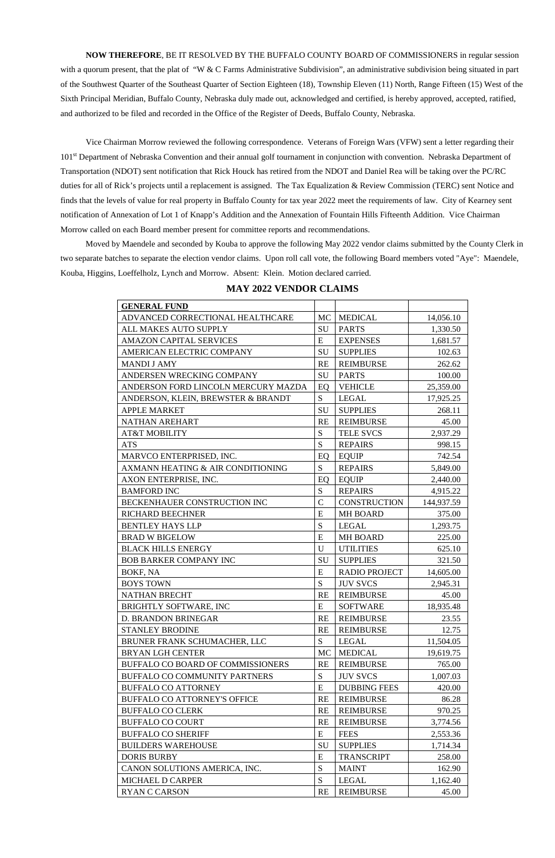#### **NOW THEREFORE**, BE IT RESOLVED BY THE BUFFALO COUNTY BOARD OF COMMISSIONERS in regular session

with a quorum present, that the plat of "W & C Farms Administrative Subdivision", an administrative subdivision being situated in part of the Southwest Quarter of the Southeast Quarter of Section Eighteen (18), Township Eleven (11) North, Range Fifteen (15) West of the Sixth Principal Meridian, Buffalo County, Nebraska duly made out, acknowledged and certified, is hereby approved, accepted, ratified, and authorized to be filed and recorded in the Office of the Register of Deeds, Buffalo County, Nebraska.

Vice Chairman Morrow reviewed the following correspondence. Veterans of Foreign Wars (VFW) sent a letter regarding their 101<sup>st</sup> Department of Nebraska Convention and their annual golf tournament in conjunction with convention. Nebraska Department of Transportation (NDOT) sent notification that Rick Houck has retired from the NDOT and Daniel Rea will be taking over the PC/RC duties for all of Rick's projects until a replacement is assigned. The Tax Equalization & Review Commission (TERC) sent Notice and finds that the levels of value for real property in Buffalo County for tax year 2022 meet the requirements of law. City of Kearney sent notification of Annexation of Lot 1 of Knapp's Addition and the Annexation of Fountain Hills Fifteenth Addition. Vice Chairman Morrow called on each Board member present for committee reports and recommendations.

Moved by Maendele and seconded by Kouba to approve the following May 2022 vendor claims submitted by the County Clerk in two separate batches to separate the election vendor claims. Upon roll call vote, the following Board members voted "Aye": Maendele, Kouba, Higgins, Loeffelholz, Lynch and Morrow. Absent: Klein. Motion declared carried.

## **MAY 2022 VENDOR CLAIMS**

| <b>GENERAL FUND</b>                      |                |                      |            |
|------------------------------------------|----------------|----------------------|------------|
| ADVANCED CORRECTIONAL HEALTHCARE         | MC             | <b>MEDICAL</b>       | 14,056.10  |
| ALL MAKES AUTO SUPPLY                    | SU             | <b>PARTS</b>         | 1,330.50   |
| <b>AMAZON CAPITAL SERVICES</b>           | E              | <b>EXPENSES</b>      | 1,681.57   |
| AMERICAN ELECTRIC COMPANY                | SU             | <b>SUPPLIES</b>      | 102.63     |
| <b>MANDI J AMY</b>                       | <b>RE</b>      | <b>REIMBURSE</b>     | 262.62     |
| ANDERSEN WRECKING COMPANY                | SU             | <b>PARTS</b>         | 100.00     |
| ANDERSON FORD LINCOLN MERCURY MAZDA      | EQ             | <b>VEHICLE</b>       | 25,359.00  |
| ANDERSON, KLEIN, BREWSTER & BRANDT       | S              | <b>LEGAL</b>         | 17,925.25  |
| <b>APPLE MARKET</b>                      | SU             | <b>SUPPLIES</b>      | 268.11     |
| NATHAN AREHART                           | <b>RE</b>      | <b>REIMBURSE</b>     | 45.00      |
| <b>AT&amp;T MOBILITY</b>                 | S              | <b>TELE SVCS</b>     | 2,937.29   |
| <b>ATS</b>                               | S              | <b>REPAIRS</b>       | 998.15     |
| MARVCO ENTERPRISED, INC.                 | EQ             | <b>EQUIP</b>         | 742.54     |
| AXMANN HEATING & AIR CONDITIONING        | S              | <b>REPAIRS</b>       | 5,849.00   |
| AXON ENTERPRISE, INC.                    | EQ             | <b>EQUIP</b>         | 2,440.00   |
| <b>BAMFORD INC</b>                       | S              | <b>REPAIRS</b>       | 4,915.22   |
| BECKENHAUER CONSTRUCTION INC             | $\overline{C}$ | <b>CONSTRUCTION</b>  | 144,937.59 |
| <b>RICHARD BEECHNER</b>                  | E              | <b>MH BOARD</b>      | 375.00     |
| <b>BENTLEY HAYS LLP</b>                  | S              | <b>LEGAL</b>         | 1,293.75   |
| <b>BRAD W BIGELOW</b>                    | E              | <b>MH BOARD</b>      | 225.00     |
| <b>BLACK HILLS ENERGY</b>                | $\mathbf U$    | <b>UTILITIES</b>     | 625.10     |
| <b>BOB BARKER COMPANY INC</b>            | SU             | <b>SUPPLIES</b>      | 321.50     |
| BOKF, NA                                 | E              | <b>RADIO PROJECT</b> | 14,605.00  |
| <b>BOYS TOWN</b>                         | S              | <b>JUV SVCS</b>      | 2,945.31   |
| <b>NATHAN BRECHT</b>                     | <b>RE</b>      | <b>REIMBURSE</b>     | 45.00      |
| BRIGHTLY SOFTWARE, INC                   | E              | <b>SOFTWARE</b>      | 18,935.48  |
| D. BRANDON BRINEGAR                      | <b>RE</b>      | <b>REIMBURSE</b>     | 23.55      |
| <b>STANLEY BRODINE</b>                   | <b>RE</b>      | <b>REIMBURSE</b>     | 12.75      |
| BRUNER FRANK SCHUMACHER, LLC             | S              | <b>LEGAL</b>         | 11,504.05  |
| <b>BRYAN LGH CENTER</b>                  | MC             | <b>MEDICAL</b>       | 19,619.75  |
| <b>BUFFALO CO BOARD OF COMMISSIONERS</b> | <b>RE</b>      | <b>REIMBURSE</b>     | 765.00     |
| BUFFALO CO COMMUNITY PARTNERS            | S              | <b>JUV SVCS</b>      | 1,007.03   |
| <b>BUFFALO CO ATTORNEY</b>               | E              | <b>DUBBING FEES</b>  | 420.00     |
| <b>BUFFALO CO ATTORNEY'S OFFICE</b>      | <b>RE</b>      | <b>REIMBURSE</b>     | 86.28      |
| <b>BUFFALO CO CLERK</b>                  | <b>RE</b>      | <b>REIMBURSE</b>     | 970.25     |
| <b>BUFFALO CO COURT</b>                  | <b>RE</b>      | <b>REIMBURSE</b>     | 3,774.56   |
| <b>BUFFALO CO SHERIFF</b>                | E              | <b>FEES</b>          | 2,553.36   |
| <b>BUILDERS WAREHOUSE</b>                | SU             | <b>SUPPLIES</b>      | 1,714.34   |
| <b>DORIS BURBY</b>                       | E              | <b>TRANSCRIPT</b>    | 258.00     |
| CANON SOLUTIONS AMERICA, INC.            | S              | <b>MAINT</b>         | 162.90     |
| <b>MICHAEL D CARPER</b>                  | S              | <b>LEGAL</b>         | 1,162.40   |
| <b>RYAN C CARSON</b>                     | <b>RE</b>      | <b>REIMBURSE</b>     | 45.00      |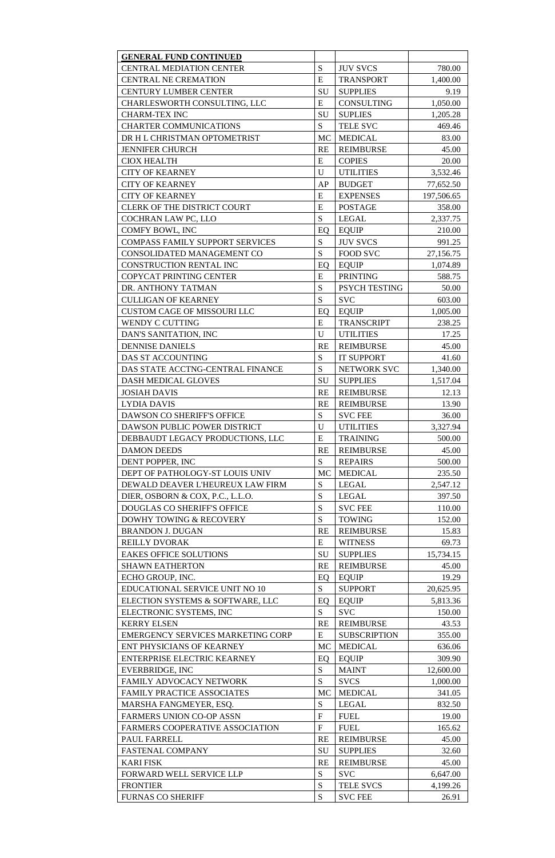| <b>GENERAL FUND CONTINUED</b>                                             |                |                             |                 |
|---------------------------------------------------------------------------|----------------|-----------------------------|-----------------|
| <b>CENTRAL MEDIATION CENTER</b>                                           | S              | <b>JUV SVCS</b>             | 780.00          |
| <b>CENTRAL NE CREMATION</b>                                               | E              | <b>TRANSPORT</b>            | 1,400.00        |
| <b>CENTURY LUMBER CENTER</b>                                              | SU             | <b>SUPPLIES</b>             | 9.19            |
| CHARLESWORTH CONSULTING, LLC                                              | E              | CONSULTING                  | 1,050.00        |
| <b>CHARM-TEX INC</b>                                                      | SU             | <b>SUPLIES</b>              | 1,205.28        |
| <b>CHARTER COMMUNICATIONS</b>                                             | S              | <b>TELE SVC</b>             | 469.46          |
| DR H L CHRISTMAN OPTOMETRIST                                              | MC             | <b>MEDICAL</b>              | 83.00           |
| <b>JENNIFER CHURCH</b>                                                    | <b>RE</b>      | <b>REIMBURSE</b>            | 45.00           |
| <b>CIOX HEALTH</b>                                                        | E              | <b>COPIES</b>               | 20.00           |
| <b>CITY OF KEARNEY</b>                                                    | U              | <b>UTILITIES</b>            | 3,532.46        |
| <b>CITY OF KEARNEY</b>                                                    | AP             | <b>BUDGET</b>               | 77,652.50       |
| <b>CITY OF KEARNEY</b>                                                    | E              | <b>EXPENSES</b>             | 197,506.65      |
| CLERK OF THE DISTRICT COURT                                               | E              | <b>POSTAGE</b>              | 358.00          |
| COCHRAN LAW PC, LLO                                                       | S              | <b>LEGAL</b>                | 2,337.75        |
| COMFY BOWL, INC                                                           | EQ             | <b>EQUIP</b>                | 210.00          |
| <b>COMPASS FAMILY SUPPORT SERVICES</b>                                    | S              | <b>JUV SVCS</b>             | 991.25          |
| CONSOLIDATED MANAGEMENT CO                                                | S              | <b>FOOD SVC</b>             | 27,156.75       |
| CONSTRUCTION RENTAL INC                                                   | EQ             | <b>EQUIP</b>                | 1,074.89        |
| <b>COPYCAT PRINTING CENTER</b>                                            | E              | <b>PRINTING</b>             | 588.75          |
| DR. ANTHONY TATMAN                                                        | S              | PSYCH TESTING               | 50.00           |
| <b>CULLIGAN OF KEARNEY</b>                                                | S              | <b>SVC</b>                  | 603.00          |
| <b>CUSTOM CAGE OF MISSOURI LLC</b>                                        | EQ             | <b>EQUIP</b>                | 1,005.00        |
| <b>WENDY C CUTTING</b>                                                    | E              | <b>TRANSCRIPT</b>           | 238.25          |
| DAN'S SANITATION, INC                                                     | U              | <b>UTILITIES</b>            | 17.25           |
| <b>DENNISE DANIELS</b>                                                    | <b>RE</b>      | <b>REIMBURSE</b>            | 45.00           |
| DAS ST ACCOUNTING                                                         | S              | <b>IT SUPPORT</b>           | 41.60           |
| DAS STATE ACCTNG-CENTRAL FINANCE                                          | S              | NETWORK SVC                 | 1,340.00        |
| DASH MEDICAL GLOVES                                                       | SU             | <b>SUPPLIES</b>             | 1,517.04        |
| <b>JOSIAH DAVIS</b>                                                       | <b>RE</b>      | <b>REIMBURSE</b>            | 12.13           |
| <b>LYDIA DAVIS</b>                                                        | <b>RE</b>      | <b>REIMBURSE</b>            | 13.90           |
| <b>DAWSON CO SHERIFF'S OFFICE</b>                                         | S              | <b>SVC FEE</b>              | 36.00           |
| DAWSON PUBLIC POWER DISTRICT                                              | U              | <b>UTILITIES</b>            | 3,327.94        |
| DEBBAUDT LEGACY PRODUCTIONS, LLC                                          | E              | <b>TRAINING</b>             | 500.00          |
| <b>DAMON DEEDS</b>                                                        | <b>RE</b>      | <b>REIMBURSE</b>            | 45.00           |
| DENT POPPER, INC                                                          | S              | <b>REPAIRS</b>              | 500.00          |
| DEPT OF PATHOLOGY-ST LOUIS UNIV                                           | <b>MC</b>      | <b>MEDICAL</b>              | 235.50          |
| DEWALD DEAVER L'HEUREUX LAW FIRM                                          | S              | <b>LEGAL</b>                | 2,547.12        |
| DIER, OSBORN & COX, P.C., L.L.O.                                          | S              | <b>LEGAL</b>                | 397.50          |
| <b>DOUGLAS CO SHERIFF'S OFFICE</b>                                        | S              | <b>SVC FEE</b>              | 110.00          |
| DOWHY TOWING & RECOVERY                                                   | S              | <b>TOWING</b>               | 152.00          |
| <b>BRANDON J. DUGAN</b>                                                   | <b>RE</b>      | <b>REIMBURSE</b>            | 15.83           |
| <b>REILLY DVORAK</b>                                                      | E              | <b>WITNESS</b>              | 69.73           |
| <b>EAKES OFFICE SOLUTIONS</b>                                             | SU             | <b>SUPPLIES</b>             | 15,734.15       |
| <b>SHAWN EATHERTON</b>                                                    | <b>RE</b>      | <b>REIMBURSE</b>            | 45.00           |
| ECHO GROUP, INC.                                                          | EQ             | <b>EQUIP</b>                | 19.29           |
| EDUCATIONAL SERVICE UNIT NO 10                                            | S              | <b>SUPPORT</b>              | 20,625.95       |
| ELECTION SYSTEMS & SOFTWARE, LLC                                          | EQ             | <b>EQUIP</b>                | 5,813.36        |
| ELECTRONIC SYSTEMS, INC                                                   | S              | <b>SVC</b>                  | 150.00          |
| <b>KERRY ELSEN</b>                                                        | <b>RE</b>      | <b>REIMBURSE</b>            | 43.53           |
| <b>EMERGENCY SERVICES MARKETING CORP</b>                                  | E              | <b>SUBSCRIPTION</b>         | 355.00          |
| ENT PHYSICIANS OF KEARNEY                                                 | <b>MC</b>      | <b>MEDICAL</b>              | 636.06          |
| <b>ENTERPRISE ELECTRIC KEARNEY</b>                                        | EQ             | <b>EQUIP</b>                | 309.90          |
| EVERBRIDGE, INC                                                           | S              | <b>MAINT</b>                | 12,600.00       |
| FAMILY ADVOCACY NETWORK                                                   | S              | <b>SVCS</b>                 | 1,000.00        |
| <b>FAMILY PRACTICE ASSOCIATES</b>                                         | <b>MC</b>      | <b>MEDICAL</b>              | 341.05          |
| MARSHA FANGMEYER, ESQ.                                                    | S<br>$F_{\rm}$ | <b>LEGAL</b><br><b>FUEL</b> | 832.50<br>19.00 |
| <b>FARMERS UNION CO-OP ASSN</b><br><b>FARMERS COOPERATIVE ASSOCIATION</b> | $\mathbf{F}$   | <b>FUEL</b>                 | 165.62          |
| PAUL FARRELL                                                              | <b>RE</b>      | <b>REIMBURSE</b>            | 45.00           |
| <b>FASTENAL COMPANY</b>                                                   | SU             | <b>SUPPLIES</b>             | 32.60           |
| <b>KARI FISK</b>                                                          | <b>RE</b>      | <b>REIMBURSE</b>            | 45.00           |
| FORWARD WELL SERVICE LLP                                                  | S              | <b>SVC</b>                  | 6,647.00        |
| <b>FRONTIER</b>                                                           | S              | <b>TELE SVCS</b>            | 4,199.26        |
| <b>FURNAS CO SHERIFF</b>                                                  | S              | <b>SVC FEE</b>              | 26.91           |
|                                                                           |                |                             |                 |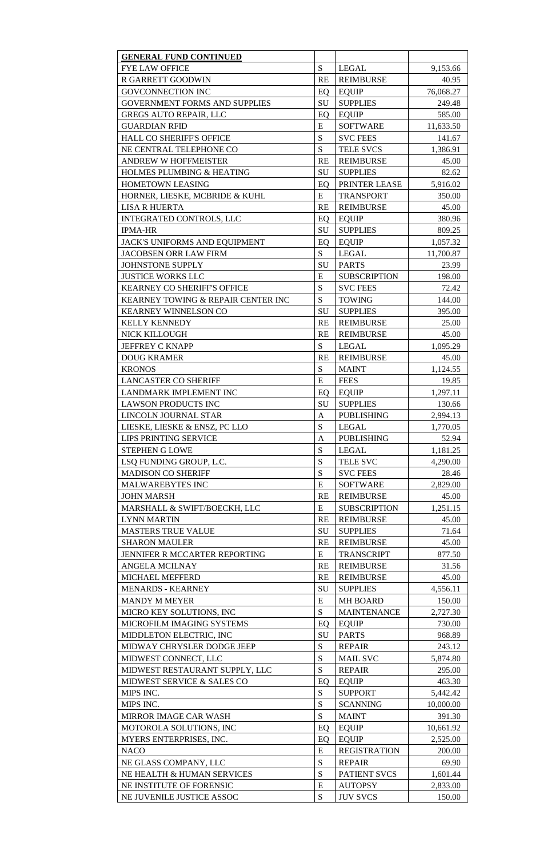| <b>GENERAL FUND CONTINUED</b>        |              |                     |           |
|--------------------------------------|--------------|---------------------|-----------|
| <b>FYE LAW OFFICE</b>                | S            | <b>LEGAL</b>        | 9,153.66  |
| R GARRETT GOODWIN                    | <b>RE</b>    | <b>REIMBURSE</b>    | 40.95     |
| <b>GOVCONNECTION INC</b>             | EQ           | <b>EQUIP</b>        | 76,068.27 |
| <b>GOVERNMENT FORMS AND SUPPLIES</b> | SU           | <b>SUPPLIES</b>     | 249.48    |
| <b>GREGS AUTO REPAIR, LLC</b>        | EQ           | <b>EQUIP</b>        | 585.00    |
| <b>GUARDIAN RFID</b>                 | E            | <b>SOFTWARE</b>     | 11,633.50 |
| <b>HALL CO SHERIFF'S OFFICE</b>      | S            | <b>SVC FEES</b>     | 141.67    |
| NE CENTRAL TELEPHONE CO              | S            | <b>TELE SVCS</b>    | 1,386.91  |
| <b>ANDREW W HOFFMEISTER</b>          | <b>RE</b>    | <b>REIMBURSE</b>    | 45.00     |
| HOLMES PLUMBING & HEATING            | SU           | <b>SUPPLIES</b>     | 82.62     |
| <b>HOMETOWN LEASING</b>              | EQ           | PRINTER LEASE       | 5,916.02  |
| HORNER, LIESKE, MCBRIDE & KUHL       | E            | <b>TRANSPORT</b>    | 350.00    |
| <b>LISA R HUERTA</b>                 | <b>RE</b>    | <b>REIMBURSE</b>    | 45.00     |
| <b>INTEGRATED CONTROLS, LLC</b>      | EQ           | <b>EQUIP</b>        | 380.96    |
| <b>IPMA-HR</b>                       | SU           | <b>SUPPLIES</b>     | 809.25    |
| <b>JACK'S UNIFORMS AND EQUIPMENT</b> | EQ           | <b>EQUIP</b>        | 1,057.32  |
| <b>JACOBSEN ORR LAW FIRM</b>         | S            | <b>LEGAL</b>        | 11,700.87 |
| JOHNSTONE SUPPLY                     | SU           | <b>PARTS</b>        | 23.99     |
| <b>JUSTICE WORKS LLC</b>             | E            | <b>SUBSCRIPTION</b> | 198.00    |
| <b>KEARNEY CO SHERIFF'S OFFICE</b>   | S            | <b>SVC FEES</b>     | 72.42     |
| KEARNEY TOWING & REPAIR CENTER INC   | S            | <b>TOWING</b>       | 144.00    |
| <b>KEARNEY WINNELSON CO</b>          | SU           | <b>SUPPLIES</b>     | 395.00    |
|                                      |              |                     |           |
| <b>KELLY KENNEDY</b>                 | <b>RE</b>    | <b>REIMBURSE</b>    | 25.00     |
| NICK KILLOUGH                        | <b>RE</b>    | <b>REIMBURSE</b>    | 45.00     |
| <b>JEFFREY C KNAPP</b>               | S            | <b>LEGAL</b>        | 1,095.29  |
| <b>DOUG KRAMER</b>                   | <b>RE</b>    | <b>REIMBURSE</b>    | 45.00     |
| <b>KRONOS</b>                        | S            | <b>MAINT</b>        | 1,124.55  |
| <b>LANCASTER CO SHERIFF</b>          | E            | <b>FEES</b>         | 19.85     |
| LANDMARK IMPLEMENT INC               | EQ           | <b>EQUIP</b>        | 1,297.11  |
| <b>LAWSON PRODUCTS INC</b>           | SU           | <b>SUPPLIES</b>     | 130.66    |
| LINCOLN JOURNAL STAR                 | A            | <b>PUBLISHING</b>   | 2,994.13  |
| LIESKE, LIESKE & ENSZ, PC LLO        | S            | <b>LEGAL</b>        | 1,770.05  |
| LIPS PRINTING SERVICE                | $\mathbf{A}$ | <b>PUBLISHING</b>   | 52.94     |
| <b>STEPHEN G LOWE</b>                | S            | <b>LEGAL</b>        | 1,181.25  |
| LSO FUNDING GROUP, L.C.              | S            | <b>TELE SVC</b>     | 4,290.00  |
| <b>MADISON CO SHERIFF</b>            | S            | <b>SVC FEES</b>     | 28.46     |
| MALWAREBYTES INC                     | E            | <b>SOFTWARE</b>     | 2,829.00  |
| <b>JOHN MARSH</b>                    | <b>RE</b>    | <b>REIMBURSE</b>    | 45.00     |
| MARSHALL & SWIFT/BOECKH, LLC         | E            | <b>SUBSCRIPTION</b> | 1,251.15  |
| <b>LYNN MARTIN</b>                   | <b>RE</b>    | <b>REIMBURSE</b>    | 45.00     |
| <b>MASTERS TRUE VALUE</b>            | <b>SU</b>    | <b>SUPPLIES</b>     | 71.64     |
| <b>SHARON MAULER</b>                 | <b>RE</b>    | <b>REIMBURSE</b>    | 45.00     |
| JENNIFER R MCCARTER REPORTING        | E            | <b>TRANSCRIPT</b>   | 877.50    |
| <b>ANGELA MCILNAY</b>                | <b>RE</b>    | <b>REIMBURSE</b>    | 31.56     |
| <b>MICHAEL MEFFERD</b>               | <b>RE</b>    | <b>REIMBURSE</b>    | 45.00     |
| <b>MENARDS - KEARNEY</b>             | SU           | <b>SUPPLIES</b>     | 4,556.11  |
| <b>MANDY M MEYER</b>                 | E            | <b>MH BOARD</b>     | 150.00    |
| MICRO KEY SOLUTIONS, INC             | S            | <b>MAINTENANCE</b>  | 2,727.30  |
| MICROFILM IMAGING SYSTEMS            | EQ           | <b>EQUIP</b>        | 730.00    |
| MIDDLETON ELECTRIC, INC              | SU           | <b>PARTS</b>        | 968.89    |
| MIDWAY CHRYSLER DODGE JEEP           | S            | <b>REPAIR</b>       | 243.12    |
| MIDWEST CONNECT, LLC                 | S            | <b>MAIL SVC</b>     | 5,874.80  |
| MIDWEST RESTAURANT SUPPLY, LLC       | S            | <b>REPAIR</b>       | 295.00    |
| MIDWEST SERVICE & SALES CO           | EQ           | <b>EQUIP</b>        | 463.30    |
| MIPS INC.                            | S            | <b>SUPPORT</b>      | 5,442.42  |
| MIPS INC.                            | S            | <b>SCANNING</b>     | 10,000.00 |
| MIRROR IMAGE CAR WASH                | S            | <b>MAINT</b>        | 391.30    |
| MOTOROLA SOLUTIONS, INC              | EQ           | <b>EQUIP</b>        | 10,661.92 |
| MYERS ENTERPRISES, INC.              | EQ           | <b>EQUIP</b>        | 2,525.00  |
| <b>NACO</b>                          | E            | <b>REGISTRATION</b> | 200.00    |
| NE GLASS COMPANY, LLC                | S            | <b>REPAIR</b>       | 69.90     |
| NE HEALTH & HUMAN SERVICES           | S            | PATIENT SVCS        | 1,601.44  |
| NE INSTITUTE OF FORENSIC             | E            | <b>AUTOPSY</b>      | 2,833.00  |
| NE JUVENILE JUSTICE ASSOC            | S            | <b>JUV SVCS</b>     | 150.00    |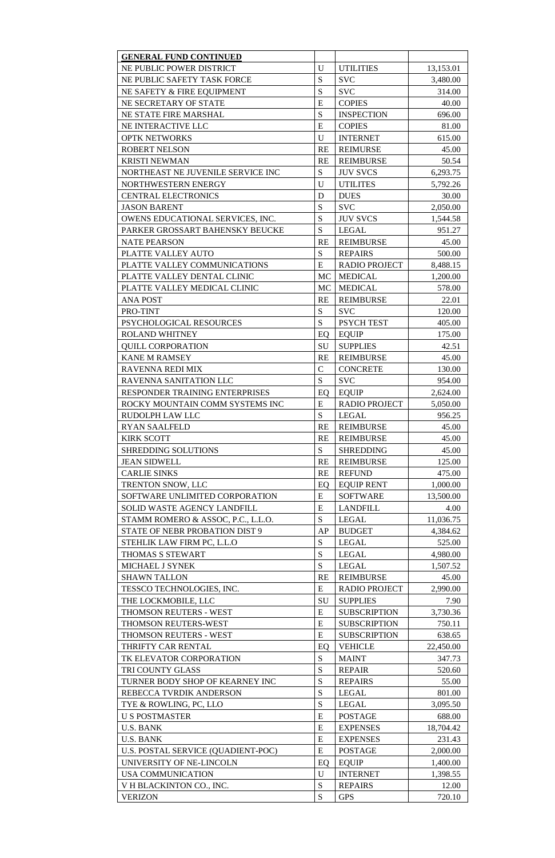| <b>GENERAL FUND CONTINUED</b>      |             |                      |           |
|------------------------------------|-------------|----------------------|-----------|
| NE PUBLIC POWER DISTRICT           | U           | <b>UTILITIES</b>     | 13,153.01 |
| NE PUBLIC SAFETY TASK FORCE        | S           | <b>SVC</b>           | 3,480.00  |
| NE SAFETY & FIRE EQUIPMENT         | S           | <b>SVC</b>           | 314.00    |
| NE SECRETARY OF STATE              | E           | <b>COPIES</b>        | 40.00     |
| NE STATE FIRE MARSHAL              | S           | <b>INSPECTION</b>    | 696.00    |
| NE INTERACTIVE LLC                 | E           | <b>COPIES</b>        | 81.00     |
| <b>OPTK NETWORKS</b>               | U           | <b>INTERNET</b>      | 615.00    |
| <b>ROBERT NELSON</b>               | <b>RE</b>   | <b>REIMURSE</b>      | 45.00     |
| <b>KRISTI NEWMAN</b>               | <b>RE</b>   | <b>REIMBURSE</b>     | 50.54     |
| NORTHEAST NE JUVENILE SERVICE INC  | S           | <b>JUV SVCS</b>      | 6,293.75  |
| NORTHWESTERN ENERGY                | $\mathbf U$ | <b>UTILITES</b>      | 5,792.26  |
| <b>CENTRAL ELECTRONICS</b>         | D           | <b>DUES</b>          | 30.00     |
| <b>JASON BARENT</b>                | S           | <b>SVC</b>           | 2,050.00  |
| OWENS EDUCATIONAL SERVICES, INC.   | S           | <b>JUV SVCS</b>      | 1,544.58  |
| PARKER GROSSART BAHENSKY BEUCKE    | S           | <b>LEGAL</b>         | 951.27    |
| <b>NATE PEARSON</b>                | <b>RE</b>   | <b>REIMBURSE</b>     | 45.00     |
| PLATTE VALLEY AUTO                 | S           | <b>REPAIRS</b>       | 500.00    |
| PLATTE VALLEY COMMUNICATIONS       | E           | <b>RADIO PROJECT</b> | 8,488.15  |
| PLATTE VALLEY DENTAL CLINIC        | MC          | <b>MEDICAL</b>       | 1,200.00  |
| PLATTE VALLEY MEDICAL CLINIC       | MC          | <b>MEDICAL</b>       | 578.00    |
| <b>ANA POST</b>                    | RE          | <b>REIMBURSE</b>     | 22.01     |
| PRO-TINT                           | S           | <b>SVC</b>           | 120.00    |
| PSYCHOLOGICAL RESOURCES            | S           | PSYCH TEST           | 405.00    |
| <b>ROLAND WHITNEY</b>              | EQ          | <b>EQUIP</b>         | 175.00    |
| <b>QUILL CORPORATION</b>           | <b>SU</b>   | <b>SUPPLIES</b>      | 42.51     |
| <b>KANE M RAMSEY</b>               | <b>RE</b>   | <b>REIMBURSE</b>     | 45.00     |
| RAVENNA REDI MIX                   | $\mathbf C$ | <b>CONCRETE</b>      | 130.00    |
| RAVENNA SANITATION LLC             | S           | <b>SVC</b>           | 954.00    |
| RESPONDER TRAINING ENTERPRISES     | EQ          | <b>EQUIP</b>         | 2,624.00  |
| ROCKY MOUNTAIN COMM SYSTEMS INC    | E           | <b>RADIO PROJECT</b> | 5,050.00  |
| RUDOLPH LAW LLC                    | S           | <b>LEGAL</b>         | 956.25    |
| <b>RYAN SAALFELD</b>               | <b>RE</b>   | <b>REIMBURSE</b>     | 45.00     |
| <b>KIRK SCOTT</b>                  | <b>RE</b>   | <b>REIMBURSE</b>     | 45.00     |
| <b>SHREDDING SOLUTIONS</b>         | S           | <b>SHREDDING</b>     | 45.00     |
| <b>JEAN SIDWELL</b>                | <b>RE</b>   | <b>REIMBURSE</b>     | 125.00    |
| <b>CARLIE SINKS</b>                | <b>RE</b>   | <b>REFUND</b>        | 475.00    |
| TRENTON SNOW, LLC                  | EQ          | <b>EQUIP RENT</b>    | 1,000.00  |
| SOFTWARE UNLIMITED CORPORATION     | E           | <b>SOFTWARE</b>      | 13,500.00 |
| SOLID WASTE AGENCY LANDFILL        | E           | <b>LANDFILL</b>      | 4.00      |
| STAMM ROMERO & ASSOC, P.C., L.L.O. | S           | <b>LEGAL</b>         | 11,036.75 |
| STATE OF NEBR PROBATION DIST 9     | AP          | <b>BUDGET</b>        | 4,384.62  |
| STEHLIK LAW FIRM PC, L.L.O         | S           | <b>LEGAL</b>         | 525.00    |
| THOMAS S STEWART                   | S           | <b>LEGAL</b>         | 4,980.00  |
| MICHAEL J SYNEK                    | S           | <b>LEGAL</b>         | 1,507.52  |
| <b>SHAWN TALLON</b>                | <b>RE</b>   | <b>REIMBURSE</b>     | 45.00     |
| TESSCO TECHNOLOGIES, INC.          | E           | <b>RADIO PROJECT</b> | 2,990.00  |
| THE LOCKMOBILE, LLC                | SU          | <b>SUPPLIES</b>      | 7.90      |
| THOMSON REUTERS - WEST             | E           | <b>SUBSCRIPTION</b>  | 3,730.36  |
| THOMSON REUTERS-WEST               | E           | <b>SUBSCRIPTION</b>  | 750.11    |
| THOMSON REUTERS - WEST             | E           | <b>SUBSCRIPTION</b>  | 638.65    |
| THRIFTY CAR RENTAL                 |             | <b>VEHICLE</b>       |           |
| TK ELEVATOR CORPORATION            | EQ<br>S     | <b>MAINT</b>         | 22,450.00 |
|                                    |             |                      | 347.73    |
| TRI COUNTY GLASS                   | S           | <b>REPAIR</b>        | 520.60    |
| TURNER BODY SHOP OF KEARNEY INC    | S           | <b>REPAIRS</b>       | 55.00     |
| REBECCA TVRDIK ANDERSON            | S           | <b>LEGAL</b>         | 801.00    |
| TYE & ROWLING, PC, LLO             | S           | <b>LEGAL</b>         | 3,095.50  |
| <b>U S POSTMASTER</b>              | E           | <b>POSTAGE</b>       | 688.00    |
| <b>U.S. BANK</b>                   | E           | <b>EXPENSES</b>      | 18,704.42 |
| <b>U.S. BANK</b>                   | E           | <b>EXPENSES</b>      | 231.43    |
| U.S. POSTAL SERVICE (QUADIENT-POC) | E           | <b>POSTAGE</b>       | 2,000.00  |
| UNIVERSITY OF NE-LINCOLN           | EQ          | <b>EQUIP</b>         | 1,400.00  |
| <b>USA COMMUNICATION</b>           | $\mathbf U$ | <b>INTERNET</b>      | 1,398.55  |
| V H BLACKINTON CO., INC.           | S           | <b>REPAIRS</b>       | 12.00     |
| <b>VERIZON</b>                     | ${\bf S}$   | <b>GPS</b>           | 720.10    |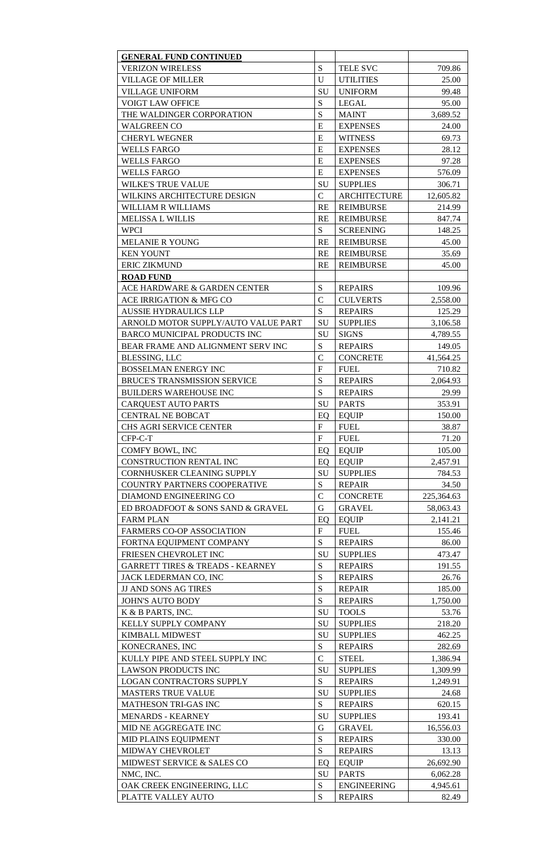| <b>GENERAL FUND CONTINUED</b>               |                |                                |                      |
|---------------------------------------------|----------------|--------------------------------|----------------------|
| <b>VERIZON WIRELESS</b>                     | S              | <b>TELE SVC</b>                | 709.86               |
| <b>VILLAGE OF MILLER</b>                    | $\mathbf{U}$   | <b>UTILITIES</b>               | 25.00                |
| <b>VILLAGE UNIFORM</b>                      | SU             | <b>UNIFORM</b>                 | 99.48                |
| <b>VOIGT LAW OFFICE</b>                     | S              | <b>LEGAL</b>                   | 95.00                |
| THE WALDINGER CORPORATION                   | S              | <b>MAINT</b>                   | 3,689.52             |
| <b>WALGREEN CO</b>                          | E              | <b>EXPENSES</b>                | 24.00                |
| <b>CHERYL WEGNER</b>                        | E              | <b>WITNESS</b>                 | 69.73                |
| <b>WELLS FARGO</b>                          | E              | <b>EXPENSES</b>                | 28.12                |
| <b>WELLS FARGO</b>                          | E              | <b>EXPENSES</b>                | 97.28                |
| <b>WELLS FARGO</b>                          | E              | <b>EXPENSES</b>                | 576.09               |
| <b>WILKE'S TRUE VALUE</b>                   | SU             | <b>SUPPLIES</b>                | 306.71               |
| WILKINS ARCHITECTURE DESIGN                 | $\mathcal{C}$  | <b>ARCHITECTURE</b>            | 12,605.82            |
| <b>WILLIAM R WILLIAMS</b>                   | <b>RE</b>      | <b>REIMBURSE</b>               | 214.99               |
| <b>MELISSA L WILLIS</b>                     | <b>RE</b>      | <b>REIMBURSE</b>               | 847.74               |
| <b>WPCI</b>                                 | S              | <b>SCREENING</b>               | 148.25               |
| <b>MELANIE R YOUNG</b>                      | <b>RE</b>      | <b>REIMBURSE</b>               | 45.00                |
| <b>KEN YOUNT</b>                            | <b>RE</b>      | <b>REIMBURSE</b>               | 35.69                |
| <b>ERIC ZIKMUND</b>                         | <b>RE</b>      | <b>REIMBURSE</b>               | 45.00                |
| <b>ROAD FUND</b>                            |                |                                |                      |
| ACE HARDWARE & GARDEN CENTER                | S              | <b>REPAIRS</b>                 | 109.96               |
| <b>ACE IRRIGATION &amp; MFG CO</b>          | $\overline{C}$ | <b>CULVERTS</b>                | 2,558.00             |
| <b>AUSSIE HYDRAULICS LLP</b>                | S              | <b>REPAIRS</b>                 | 125.29               |
| ARNOLD MOTOR SUPPLY/AUTO VALUE PART         | SU             | <b>SUPPLIES</b>                |                      |
| <b>BARCO MUNICIPAL PRODUCTS INC</b>         | SU             | <b>SIGNS</b>                   | 3,106.58<br>4,789.55 |
| BEAR FRAME AND ALIGNMENT SERV INC           | S              | <b>REPAIRS</b>                 | 149.05               |
|                                             | $\overline{C}$ |                                |                      |
| <b>BLESSING, LLC</b>                        | $\mathbf{F}$   | <b>CONCRETE</b><br><b>FUEL</b> | 41,564.25            |
| <b>BOSSELMAN ENERGY INC</b>                 |                |                                | 710.82               |
| <b>BRUCE'S TRANSMISSION SERVICE</b>         | S              | <b>REPAIRS</b>                 | 2,064.93             |
| <b>BUILDERS WAREHOUSE INC</b>               | S              | <b>REPAIRS</b>                 | 29.99                |
| <b>CARQUEST AUTO PARTS</b>                  | SU             | <b>PARTS</b>                   | 353.91               |
| <b>CENTRAL NE BOBCAT</b>                    | EQ             | <b>EQUIP</b>                   | 150.00               |
| <b>CHS AGRI SERVICE CENTER</b>              | $\mathbf{F}$   | <b>FUEL</b>                    | 38.87                |
| CFP-C-T                                     | $\mathbf{F}$   | <b>FUEL</b>                    | 71.20                |
| <b>COMFY BOWL, INC</b>                      | EQ             | <b>EQUIP</b>                   | 105.00               |
| <b>CONSTRUCTION RENTAL INC</b>              | EQ             | <b>EQUIP</b>                   | 2,457.91             |
| <b>CORNHUSKER CLEANING SUPPLY</b>           | SU             | <b>SUPPLIES</b>                | 784.53               |
| <b>COUNTRY PARTNERS COOPERATIVE</b>         | S              | <b>REPAIR</b>                  | 34.50                |
| DIAMOND ENGINEERING CO                      | $\overline{C}$ | <b>CONCRETE</b>                | 225,364.63           |
| ED BROADFOOT & SONS SAND & GRAVEL           | G              | <b>GRAVEL</b>                  | 58,063.43            |
| <b>FARM PLAN</b>                            | EQ             | <b>EQUIP</b>                   | 2,141.21             |
| <b>FARMERS CO-OP ASSOCIATION</b>            | $\mathbf{F}$   | <b>FUEL</b>                    | 155.46               |
| FORTNA EQUIPMENT COMPANY                    | S              | <b>REPAIRS</b>                 | 86.00                |
| FRIESEN CHEVROLET INC                       | SU             | <b>SUPPLIES</b>                | 473.47               |
| <b>GARRETT TIRES &amp; TREADS - KEARNEY</b> | S              | <b>REPAIRS</b>                 | 191.55               |
| JACK LEDERMAN CO, INC                       | S              | <b>REPAIRS</b>                 | 26.76                |
| <b>JJ AND SONS AG TIRES</b>                 | S              | <b>REPAIR</b>                  | 185.00               |
| <b>JOHN'S AUTO BODY</b>                     | S              | <b>REPAIRS</b>                 | 1,750.00             |
| K & B PARTS, INC.                           | SU             | <b>TOOLS</b>                   | 53.76                |
| KELLY SUPPLY COMPANY                        | SU             | <b>SUPPLIES</b>                | 218.20               |
| <b>KIMBALL MIDWEST</b>                      | SU             | <b>SUPPLIES</b>                | 462.25               |
| KONECRANES, INC                             | S              | <b>REPAIRS</b>                 | 282.69               |
| KULLY PIPE AND STEEL SUPPLY INC             | $\mathcal{C}$  | <b>STEEL</b>                   | 1,386.94             |
| <b>LAWSON PRODUCTS INC</b>                  | SU             | <b>SUPPLIES</b>                | 1,309.99             |
| <b>LOGAN CONTRACTORS SUPPLY</b>             | S              | <b>REPAIRS</b>                 | 1,249.91             |
| <b>MASTERS TRUE VALUE</b>                   | SU             | <b>SUPPLIES</b>                | 24.68                |
| <b>MATHESON TRI-GAS INC</b>                 | S              | <b>REPAIRS</b>                 | 620.15               |
| <b>MENARDS - KEARNEY</b>                    | SU             | <b>SUPPLIES</b>                | 193.41               |
| MID NE AGGREGATE INC                        | G              | <b>GRAVEL</b>                  | 16,556.03            |
| MID PLAINS EQUIPMENT                        | S              | <b>REPAIRS</b>                 | 330.00               |
| MIDWAY CHEVROLET                            | S              | <b>REPAIRS</b>                 | 13.13                |
| MIDWEST SERVICE & SALES CO                  | EQ             | <b>EQUIP</b>                   | 26,692.90            |
| NMC, INC.                                   | <b>SU</b>      | <b>PARTS</b>                   | 6,062.28             |
| OAK CREEK ENGINEERING, LLC                  | S              | <b>ENGINEERING</b>             | 4,945.61             |
| PLATTE VALLEY AUTO                          | ${\bf S}$      | <b>REPAIRS</b>                 | 82.49                |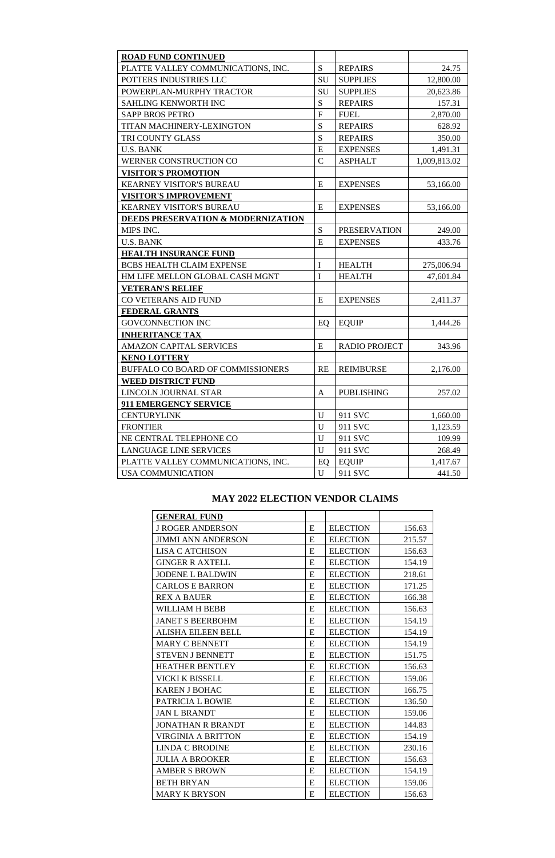| <b>ROAD FUND CONTINUED</b>                    |               |                      |              |
|-----------------------------------------------|---------------|----------------------|--------------|
| PLATTE VALLEY COMMUNICATIONS, INC.            | S             | <b>REPAIRS</b>       | 24.75        |
| POTTERS INDUSTRIES LLC                        | SU            | <b>SUPPLIES</b>      | 12,800.00    |
| POWERPLAN-MURPHY TRACTOR                      | SU            | <b>SUPPLIES</b>      | 20,623.86    |
| SAHLING KENWORTH INC                          | S             | <b>REPAIRS</b>       | 157.31       |
| <b>SAPP BROS PETRO</b>                        | $\mathbf{F}$  | <b>FUEL</b>          | 2,870.00     |
| <b>TITAN MACHINERY-LEXINGTON</b>              | S             | <b>REPAIRS</b>       | 628.92       |
| TRI COUNTY GLASS                              | S             | <b>REPAIRS</b>       | 350.00       |
| <b>U.S. BANK</b>                              | E             | <b>EXPENSES</b>      | 1,491.31     |
| WERNER CONSTRUCTION CO                        | $\mathcal{C}$ | <b>ASPHALT</b>       | 1,009,813.02 |
| <b>VISITOR'S PROMOTION</b>                    |               |                      |              |
| <b>KEARNEY VISITOR'S BUREAU</b>               | E             | <b>EXPENSES</b>      | 53,166.00    |
| <b>VISITOR'S IMPROVEMENT</b>                  |               |                      |              |
| <b>KEARNEY VISITOR'S BUREAU</b>               | E             | <b>EXPENSES</b>      | 53,166.00    |
| <b>DEEDS PRESERVATION &amp; MODERNIZATION</b> |               |                      |              |
| MIPS INC.                                     | S             | <b>PRESERVATION</b>  | 249.00       |
| <b>U.S. BANK</b>                              | E             | <b>EXPENSES</b>      | 433.76       |
| <b>HEALTH INSURANCE FUND</b>                  |               |                      |              |
| <b>BCBS HEALTH CLAIM EXPENSE</b>              | I             | <b>HEALTH</b>        | 275,006.94   |
| HM LIFE MELLON GLOBAL CASH MGNT               | I             | <b>HEALTH</b>        | 47,601.84    |
| <b>VETERAN'S RELIEF</b>                       |               |                      |              |
| CO VETERANS AID FUND                          | E             | <b>EXPENSES</b>      | 2,411.37     |
| <b>FEDERAL GRANTS</b>                         |               |                      |              |
| <b>GOVCONNECTION INC</b>                      | EQ            | <b>EQUIP</b>         | 1,444.26     |
| <b>INHERITANCE TAX</b>                        |               |                      |              |
| <b>AMAZON CAPITAL SERVICES</b>                | E             | <b>RADIO PROJECT</b> | 343.96       |
| <b>KENO LOTTERY</b>                           |               |                      |              |
| <b>BUFFALO CO BOARD OF COMMISSIONERS</b>      | <b>RE</b>     | <b>REIMBURSE</b>     | 2,176.00     |
| <b>WEED DISTRICT FUND</b>                     |               |                      |              |
| LINCOLN JOURNAL STAR                          | A             | <b>PUBLISHING</b>    | 257.02       |
| <b>911 EMERGENCY SERVICE</b>                  |               |                      |              |
| <b>CENTURYLINK</b>                            | U             | 911 SVC              | 1,660.00     |
| <b>FRONTIER</b>                               | U             | 911 SVC              | 1,123.59     |
| NE CENTRAL TELEPHONE CO                       | U             | 911 SVC              | 109.99       |
| <b>LANGUAGE LINE SERVICES</b>                 | U             | 911 SVC              | 268.49       |
| PLATTE VALLEY COMMUNICATIONS, INC.            | EQ            | <b>EQUIP</b>         | 1,417.67     |
| <b>USA COMMUNICATION</b>                      | U             | 911 SVC              | 441.50       |

# **MAY 2022 ELECTION VENDOR CLAIMS**

| <b>GENERAL FUND</b>       |   |                 |        |
|---------------------------|---|-----------------|--------|
| <b>J ROGER ANDERSON</b>   | E | <b>ELECTION</b> | 156.63 |
| <b>JIMMI ANN ANDERSON</b> | E | <b>ELECTION</b> | 215.57 |
| <b>LISA C ATCHISON</b>    | E | <b>ELECTION</b> | 156.63 |
| <b>GINGER R AXTELL</b>    | E | <b>ELECTION</b> | 154.19 |
| <b>JODENE L BALDWIN</b>   | E | <b>ELECTION</b> | 218.61 |
| <b>CARLOS E BARRON</b>    | E | <b>ELECTION</b> | 171.25 |
| <b>REX A BAUER</b>        | E | <b>ELECTION</b> | 166.38 |
| WILLIAM H BEBB            | E | <b>ELECTION</b> | 156.63 |
| <b>JANET S BEERBOHM</b>   | E | <b>ELECTION</b> | 154.19 |
| <b>ALISHA EILEEN BELL</b> | E | <b>ELECTION</b> | 154.19 |
| <b>MARY C BENNETT</b>     | E | <b>ELECTION</b> | 154.19 |
| <b>STEVEN J BENNETT</b>   | E | <b>ELECTION</b> | 151.75 |
| <b>HEATHER BENTLEY</b>    | E | <b>ELECTION</b> | 156.63 |
| <b>VICKI K BISSELL</b>    | E | <b>ELECTION</b> | 159.06 |
| <b>KAREN J BOHAC</b>      | E | <b>ELECTION</b> | 166.75 |
| PATRICIA L BOWIE          | E | <b>ELECTION</b> | 136.50 |
| <b>JAN L BRANDT</b>       | E | <b>ELECTION</b> | 159.06 |
| <b>JONATHAN R BRANDT</b>  | E | <b>ELECTION</b> | 144.83 |
| <b>VIRGINIA A BRITTON</b> | E | <b>ELECTION</b> | 154.19 |
| <b>LINDA C BRODINE</b>    | E | <b>ELECTION</b> | 230.16 |
| <b>JULIA A BROOKER</b>    | E | <b>ELECTION</b> | 156.63 |
| <b>AMBER S BROWN</b>      | E | <b>ELECTION</b> | 154.19 |
| <b>BETH BRYAN</b>         | E | <b>ELECTION</b> | 159.06 |
| <b>MARY K BRYSON</b>      | E | <b>ELECTION</b> | 156.63 |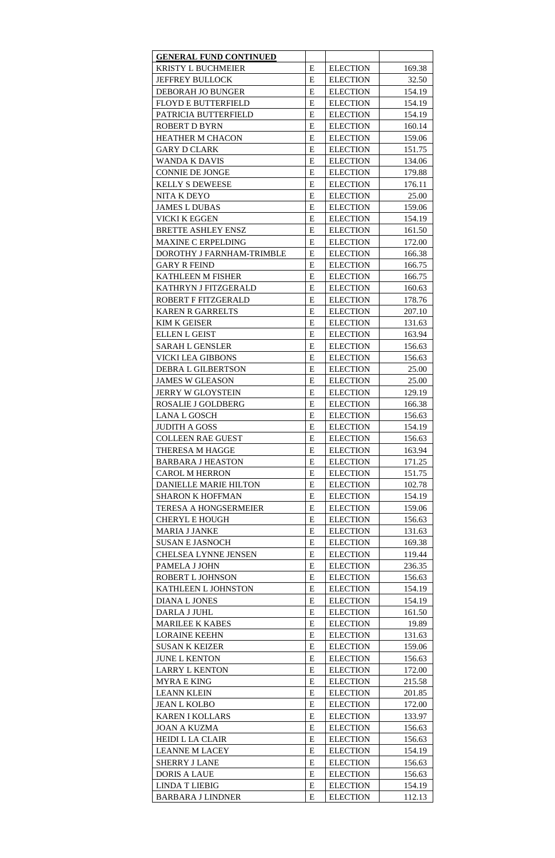| <b>GENERAL FUND CONTINUED</b> |   |                 |        |
|-------------------------------|---|-----------------|--------|
| <b>KRISTY L BUCHMEIER</b>     | E | <b>ELECTION</b> | 169.38 |
| <b>JEFFREY BULLOCK</b>        | E | <b>ELECTION</b> | 32.50  |
| DEBORAH JO BUNGER             | E | <b>ELECTION</b> | 154.19 |
| <b>FLOYD E BUTTERFIELD</b>    | E | <b>ELECTION</b> | 154.19 |
| PATRICIA BUTTERFIELD          | E | <b>ELECTION</b> | 154.19 |
| <b>ROBERT D BYRN</b>          | E | <b>ELECTION</b> | 160.14 |
| <b>HEATHER M CHACON</b>       | E | <b>ELECTION</b> | 159.06 |
| <b>GARY D CLARK</b>           | E | <b>ELECTION</b> | 151.75 |
| <b>WANDA K DAVIS</b>          | E | <b>ELECTION</b> |        |
|                               |   |                 | 134.06 |
| <b>CONNIE DE JONGE</b>        | E | <b>ELECTION</b> | 179.88 |
| <b>KELLY S DEWEESE</b>        | E | <b>ELECTION</b> | 176.11 |
| NITA K DEYO                   | E | <b>ELECTION</b> | 25.00  |
| <b>JAMES L DUBAS</b>          | E | <b>ELECTION</b> | 159.06 |
| <b>VICKI K EGGEN</b>          | E | <b>ELECTION</b> | 154.19 |
| <b>BRETTE ASHLEY ENSZ</b>     | E | <b>ELECTION</b> | 161.50 |
| MAXINE C ERPELDING            | E | <b>ELECTION</b> | 172.00 |
| DOROTHY J FARNHAM-TRIMBLE     | E | <b>ELECTION</b> | 166.38 |
| <b>GARY R FEIND</b>           | E | <b>ELECTION</b> | 166.75 |
| <b>KATHLEEN M FISHER</b>      | E | <b>ELECTION</b> | 166.75 |
| KATHRYN J FITZGERALD          | E | <b>ELECTION</b> | 160.63 |
| ROBERT F FITZGERALD           | E | <b>ELECTION</b> | 178.76 |
| <b>KAREN R GARRELTS</b>       | E | <b>ELECTION</b> | 207.10 |
| <b>KIM K GEISER</b>           | E | <b>ELECTION</b> | 131.63 |
| <b>ELLEN L GEIST</b>          | E | <b>ELECTION</b> | 163.94 |
| <b>SARAH L GENSLER</b>        | E | <b>ELECTION</b> | 156.63 |
| <b>VICKI LEA GIBBONS</b>      | E | <b>ELECTION</b> | 156.63 |
| DEBRA L GILBERTSON            | E | <b>ELECTION</b> | 25.00  |
| <b>JAMES W GLEASON</b>        | E | <b>ELECTION</b> | 25.00  |
| <b>JERRY W GLOYSTEIN</b>      | E | <b>ELECTION</b> | 129.19 |
| ROSALIE J GOLDBERG            | E | <b>ELECTION</b> |        |
|                               |   |                 | 166.38 |
| <b>LANA L GOSCH</b>           | E | <b>ELECTION</b> | 156.63 |
| <b>JUDITH A GOSS</b>          | E | <b>ELECTION</b> | 154.19 |
| <b>COLLEEN RAE GUEST</b>      | E | <b>ELECTION</b> | 156.63 |
| THERESA M HAGGE               | E | <b>ELECTION</b> | 163.94 |
| <b>BARBARA J HEASTON</b>      | E | <b>ELECTION</b> | 171.25 |
| <b>CAROL M HERRON</b>         | E | <b>ELECTION</b> | 151.75 |
| <b>DANIELLE MARIE HILTON</b>  | E | <b>ELECTION</b> | 102.78 |
| <b>SHARON K HOFFMAN</b>       | E | <b>ELECTION</b> | 154.19 |
| <b>TERESA A HONGSERMEIER</b>  | E | <b>ELECTION</b> | 159.06 |
| <b>CHERYL E HOUGH</b>         | E | <b>ELECTION</b> | 156.63 |
| <b>MARIA J JANKE</b>          | E | <b>ELECTION</b> | 131.63 |
| <b>SUSAN E JASNOCH</b>        | E | <b>ELECTION</b> | 169.38 |
| <b>CHELSEA LYNNE JENSEN</b>   | E | <b>ELECTION</b> | 119.44 |
| PAMELA J JOHN                 | E | <b>ELECTION</b> | 236.35 |
| ROBERT L JOHNSON              | E | <b>ELECTION</b> | 156.63 |
| <b>KATHLEEN L JOHNSTON</b>    | E | <b>ELECTION</b> | 154.19 |
| <b>DIANA L JONES</b>          | E | <b>ELECTION</b> | 154.19 |
| DARLA J JUHL                  | E | <b>ELECTION</b> | 161.50 |
| <b>MARILEE K KABES</b>        | E | <b>ELECTION</b> | 19.89  |
| <b>LORAINE KEEHN</b>          | E | <b>ELECTION</b> | 131.63 |
| <b>SUSAN K KEIZER</b>         | E | <b>ELECTION</b> | 159.06 |
| <b>JUNE L KENTON</b>          | E | <b>ELECTION</b> | 156.63 |
| <b>LARRY L KENTON</b>         | E | <b>ELECTION</b> | 172.00 |
| <b>MYRA E KING</b>            | E |                 |        |
|                               |   | <b>ELECTION</b> | 215.58 |
| <b>LEANN KLEIN</b>            | E | <b>ELECTION</b> | 201.85 |
| <b>JEAN L KOLBO</b>           | E | <b>ELECTION</b> | 172.00 |
| <b>KAREN I KOLLARS</b>        | E | <b>ELECTION</b> | 133.97 |
| <b>JOAN A KUZMA</b>           | E | <b>ELECTION</b> | 156.63 |
| <b>HEIDI L LA CLAIR</b>       | E | <b>ELECTION</b> | 156.63 |
| <b>LEANNE M LACEY</b>         | E | <b>ELECTION</b> | 154.19 |
| <b>SHERRY J LANE</b>          | E | <b>ELECTION</b> | 156.63 |
| <b>DORIS A LAUE</b>           | E | <b>ELECTION</b> | 156.63 |
| <b>LINDA T LIEBIG</b>         | E | <b>ELECTION</b> | 154.19 |
| <b>BARBARA J LINDNER</b>      | E | <b>ELECTION</b> | 112.13 |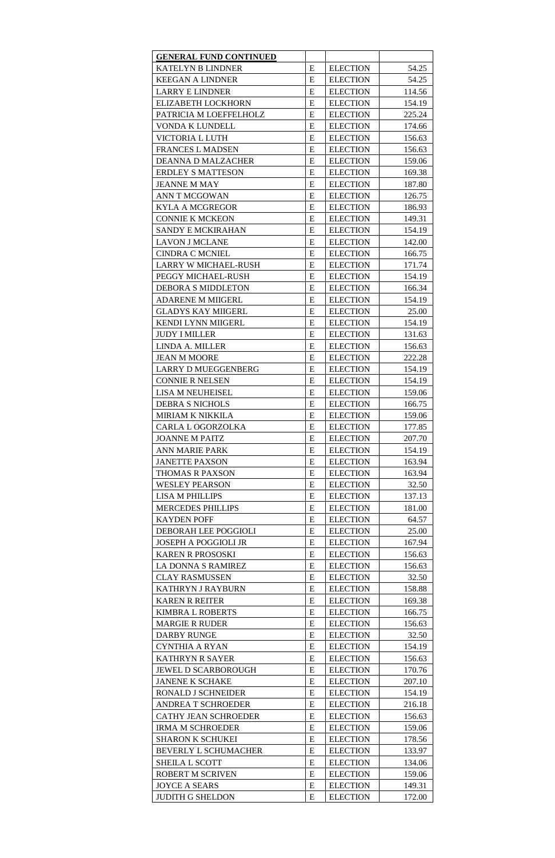| <b>GENERAL FUND CONTINUED</b>                         |           |                                    |                 |
|-------------------------------------------------------|-----------|------------------------------------|-----------------|
| <b>KATELYN B LINDNER</b>                              | E         | <b>ELECTION</b>                    | 54.25           |
| <b>KEEGAN A LINDNER</b>                               | E         | <b>ELECTION</b>                    | 54.25           |
| <b>LARRY E LINDNER</b>                                | E         | <b>ELECTION</b>                    | 114.56          |
| <b>ELIZABETH LOCKHORN</b>                             | E         | <b>ELECTION</b>                    | 154.19          |
| PATRICIA M LOEFFELHOLZ                                | E         | <b>ELECTION</b>                    | 225.24          |
| VONDA K LUNDELL                                       | E         | <b>ELECTION</b>                    | 174.66          |
| <b>VICTORIA L LUTH</b>                                | E         | <b>ELECTION</b>                    | 156.63          |
| <b>FRANCES L MADSEN</b>                               | E         | <b>ELECTION</b>                    | 156.63          |
| <b>DEANNA D MALZACHER</b>                             | E         | <b>ELECTION</b>                    | 159.06          |
| <b>ERDLEY S MATTESON</b>                              | E         | <b>ELECTION</b>                    | 169.38          |
| <b>JEANNE M MAY</b>                                   | E         | <b>ELECTION</b>                    | 187.80          |
| <b>ANN T MCGOWAN</b>                                  | E         | <b>ELECTION</b>                    | 126.75          |
| <b>KYLA A MCGREGOR</b>                                | E         | <b>ELECTION</b>                    | 186.93          |
| <b>CONNIE K MCKEON</b>                                | E         | <b>ELECTION</b>                    | 149.31          |
| <b>SANDY E MCKIRAHAN</b>                              | E         | <b>ELECTION</b>                    | 154.19          |
| <b>LAVON J MCLANE</b>                                 | E         | <b>ELECTION</b>                    | 142.00          |
| <b>CINDRA C MCNIEL</b>                                | E         | <b>ELECTION</b>                    | 166.75          |
| <b>LARRY W MICHAEL-RUSH</b>                           | E         | <b>ELECTION</b>                    | 171.74          |
| PEGGY MICHAEL-RUSH                                    | E         | <b>ELECTION</b>                    |                 |
| <b>DEBORA S MIDDLETON</b>                             | E         | <b>ELECTION</b>                    | 154.19          |
|                                                       |           |                                    | 166.34          |
| <b>ADARENE M MIIGERL</b><br><b>GLADYS KAY MIIGERL</b> | E<br>E    | <b>ELECTION</b><br><b>ELECTION</b> | 154.19<br>25.00 |
|                                                       |           |                                    |                 |
| <b>KENDI LYNN MIIGERL</b>                             | E         | <b>ELECTION</b>                    | 154.19          |
| <b>JUDY I MILLER</b>                                  | E         | <b>ELECTION</b>                    | 131.63          |
| LINDA A. MILLER                                       | E         | <b>ELECTION</b>                    | 156.63          |
| <b>JEAN M MOORE</b>                                   | E         | <b>ELECTION</b>                    | 222.28          |
| <b>LARRY D MUEGGENBERG</b>                            | E         | <b>ELECTION</b>                    | 154.19          |
| <b>CONNIE R NELSEN</b>                                | E         | <b>ELECTION</b>                    | 154.19          |
| <b>LISA M NEUHEISEL</b>                               | E         | <b>ELECTION</b>                    | 159.06          |
| <b>DEBRA S NICHOLS</b>                                | E         | <b>ELECTION</b>                    | 166.75          |
| <b>MIRIAM K NIKKILA</b>                               | E         | <b>ELECTION</b>                    | 159.06          |
| CARLA L OGORZOLKA                                     | E         | <b>ELECTION</b>                    | 177.85          |
| <b>JOANNE M PAITZ</b>                                 | E         | <b>ELECTION</b>                    | 207.70          |
| <b>ANN MARIE PARK</b>                                 | E         | <b>ELECTION</b>                    | 154.19          |
| <b>JANETTE PAXSON</b>                                 | E         | <b>ELECTION</b>                    | 163.94          |
| <b>THOMAS R PAXSON</b>                                | E         | <b>ELECTION</b>                    | 163.94          |
| <b>WESLEY PEARSON</b>                                 | E         | <b>ELECTION</b>                    | 32.50           |
| <b>LISA M PHILLIPS</b>                                | E         | <b>ELECTION</b>                    | 137.13          |
| <b>MERCEDES PHILLIPS</b>                              | E         | <b>ELECTION</b>                    | 181.00          |
| <b>KAYDEN POFF</b>                                    | E         | <b>ELECTION</b>                    | 64.57           |
| DEBORAH LEE POGGIOLI                                  | E         | <b>ELECTION</b>                    | 25.00           |
| <b>JOSEPH A POGGIOLI JR</b>                           | E         | <b>ELECTION</b>                    | 167.94          |
| <b>KAREN R PROSOSKI</b>                               | E         | <b>ELECTION</b>                    | 156.63          |
| LA DONNA S RAMIREZ                                    | E         | <b>ELECTION</b>                    | 156.63          |
| <b>CLAY RASMUSSEN</b>                                 | E         | <b>ELECTION</b>                    | 32.50           |
| KATHRYN J RAYBURN                                     | E         | <b>ELECTION</b>                    | 158.88          |
| <b>KAREN R REITER</b>                                 | E         | <b>ELECTION</b>                    | 169.38          |
| <b>KIMBRA L ROBERTS</b>                               | E         | <b>ELECTION</b>                    | 166.75          |
| <b>MARGIE R RUDER</b>                                 | E         | <b>ELECTION</b>                    | 156.63          |
| <b>DARBY RUNGE</b>                                    | E         | <b>ELECTION</b>                    | 32.50           |
| <b>CYNTHIA A RYAN</b>                                 | E         | <b>ELECTION</b>                    | 154.19          |
| <b>KATHRYN R SAYER</b>                                | E         | <b>ELECTION</b>                    | 156.63          |
| <b>JEWEL D SCARBOROUGH</b>                            | E         | <b>ELECTION</b>                    | 170.76          |
| <b>JANENE K SCHAKE</b>                                | ${\bf E}$ | <b>ELECTION</b>                    | 207.10          |
| RONALD J SCHNEIDER                                    | E         | <b>ELECTION</b>                    | 154.19          |
| <b>ANDREA T SCHROEDER</b>                             | E         | <b>ELECTION</b>                    | 216.18          |
| <b>CATHY JEAN SCHROEDER</b>                           | E         | <b>ELECTION</b>                    | 156.63          |
| <b>IRMA M SCHROEDER</b>                               | E         | <b>ELECTION</b>                    | 159.06          |
| <b>SHARON K SCHUKEI</b>                               | E         | <b>ELECTION</b>                    | 178.56          |
| <b>BEVERLY L SCHUMACHER</b>                           | E         | <b>ELECTION</b>                    | 133.97          |
| <b>SHEILA L SCOTT</b>                                 | E         | <b>ELECTION</b>                    | 134.06          |
| <b>ROBERT M SCRIVEN</b>                               | E         | <b>ELECTION</b>                    | 159.06          |
| <b>JOYCE A SEARS</b>                                  | E         | <b>ELECTION</b>                    | 149.31          |
| <b>JUDITH G SHELDON</b>                               | E         | <b>ELECTION</b>                    | 172.00          |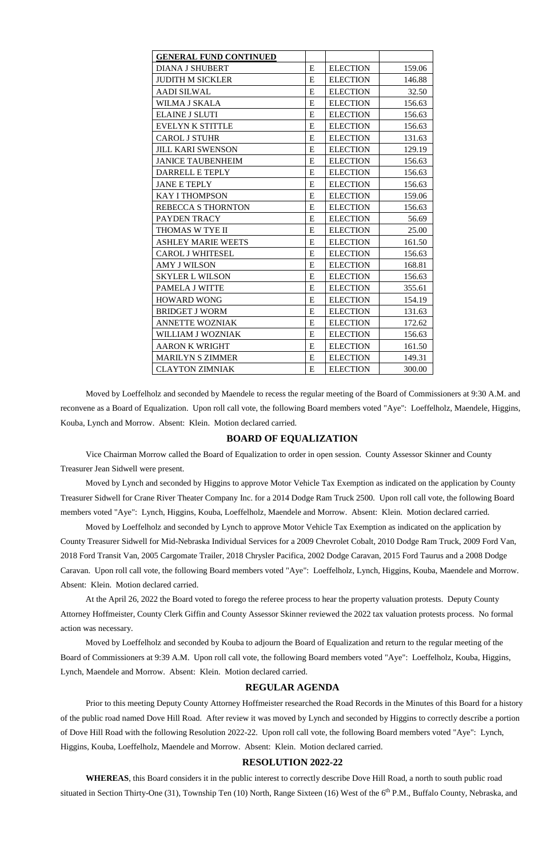| <b>GENERAL FUND CONTINUED</b> |           |                 |        |
|-------------------------------|-----------|-----------------|--------|
| <b>DIANA J SHUBERT</b>        | E         | <b>ELECTION</b> | 159.06 |
| <b>JUDITH M SICKLER</b>       | E         | <b>ELECTION</b> | 146.88 |
| <b>AADI SILWAL</b>            | ${\bf E}$ | <b>ELECTION</b> | 32.50  |
| WILMA J SKALA                 | E         | <b>ELECTION</b> | 156.63 |
| <b>ELAINE J SLUTI</b>         | E         | <b>ELECTION</b> | 156.63 |
| <b>EVELYN K STITTLE</b>       | ${\bf E}$ | <b>ELECTION</b> | 156.63 |
| <b>CAROL J STUHR</b>          | E         | <b>ELECTION</b> | 131.63 |
| <b>JILL KARI SWENSON</b>      | ${\bf E}$ | <b>ELECTION</b> | 129.19 |
| <b>JANICE TAUBENHEIM</b>      | ${\bf E}$ | <b>ELECTION</b> | 156.63 |
| DARRELL E TEPLY               | E         | <b>ELECTION</b> | 156.63 |
| <b>JANE E TEPLY</b>           | ${\bf E}$ | <b>ELECTION</b> | 156.63 |
| <b>KAY I THOMPSON</b>         | E         | <b>ELECTION</b> | 159.06 |
| REBECCA S THORNTON            | E         | <b>ELECTION</b> | 156.63 |
| PAYDEN TRACY                  | E         | <b>ELECTION</b> | 56.69  |
| THOMAS W TYE II               | E         | <b>ELECTION</b> | 25.00  |
| <b>ASHLEY MARIE WEETS</b>     | E         | <b>ELECTION</b> | 161.50 |
| <b>CAROL J WHITESEL</b>       | E         | <b>ELECTION</b> | 156.63 |
| <b>AMY J WILSON</b>           | E         | <b>ELECTION</b> | 168.81 |
| <b>SKYLER L WILSON</b>        | E         | <b>ELECTION</b> | 156.63 |
| PAMELA J WITTE                | E         | <b>ELECTION</b> | 355.61 |
| <b>HOWARD WONG</b>            | E         | <b>ELECTION</b> | 154.19 |
| <b>BRIDGET J WORM</b>         | E         | <b>ELECTION</b> | 131.63 |
| <b>ANNETTE WOZNIAK</b>        | E         | <b>ELECTION</b> | 172.62 |
| WILLIAM J WOZNIAK             | E         | <b>ELECTION</b> | 156.63 |
| <b>AARON K WRIGHT</b>         | E         | <b>ELECTION</b> | 161.50 |
| <b>MARILYN S ZIMMER</b>       | E         | <b>ELECTION</b> | 149.31 |
| <b>CLAYTON ZIMNIAK</b>        | E         | <b>ELECTION</b> | 300.00 |

Moved by Loeffelholz and seconded by Maendele to recess the regular meeting of the Board of Commissioners at 9:30 A.M. and reconvene as a Board of Equalization. Upon roll call vote, the following Board members voted "Aye": Loeffelholz, Maendele, Higgins, Kouba, Lynch and Morrow. Absent: Klein. Motion declared carried.

## **BOARD OF EQUALIZATION**

 Vice Chairman Morrow called the Board of Equalization to order in open session. County Assessor Skinner and County Treasurer Jean Sidwell were present.

Moved by Lynch and seconded by Higgins to approve Motor Vehicle Tax Exemption as indicated on the application by County Treasurer Sidwell for Crane River Theater Company Inc. for a 2014 Dodge Ram Truck 2500. Upon roll call vote, the following Board members voted "Aye": Lynch, Higgins, Kouba, Loeffelholz, Maendele and Morrow. Absent: Klein. Motion declared carried.

**WHEREAS**, this Board considers it in the public interest to correctly describe Dove Hill Road, a north to south public road situated in Section Thirty-One (31), Township Ten (10) North, Range Sixteen (16) West of the 6<sup>th</sup> P.M., Buffalo County, Nebraska, and

Moved by Loeffelholz and seconded by Lynch to approve Motor Vehicle Tax Exemption as indicated on the application by County Treasurer Sidwell for Mid-Nebraska Individual Services for a 2009 Chevrolet Cobalt, 2010 Dodge Ram Truck, 2009 Ford Van, 2018 Ford Transit Van, 2005 Cargomate Trailer, 2018 Chrysler Pacifica, 2002 Dodge Caravan, 2015 Ford Taurus and a 2008 Dodge Caravan. Upon roll call vote, the following Board members voted "Aye": Loeffelholz, Lynch, Higgins, Kouba, Maendele and Morrow. Absent: Klein. Motion declared carried.

At the April 26, 2022 the Board voted to forego the referee process to hear the property valuation protests. Deputy County Attorney Hoffmeister, County Clerk Giffin and County Assessor Skinner reviewed the 2022 tax valuation protests process. No formal action was necessary.

Moved by Loeffelholz and seconded by Kouba to adjourn the Board of Equalization and return to the regular meeting of the Board of Commissioners at 9:39 A.M. Upon roll call vote, the following Board members voted "Aye": Loeffelholz, Kouba, Higgins, Lynch, Maendele and Morrow. Absent: Klein. Motion declared carried.

## **REGULAR AGENDA**

Prior to this meeting Deputy County Attorney Hoffmeister researched the Road Records in the Minutes of this Board for a history of the public road named Dove Hill Road. After review it was moved by Lynch and seconded by Higgins to correctly describe a portion of Dove Hill Road with the following Resolution 2022-22. Upon roll call vote, the following Board members voted "Aye": Lynch, Higgins, Kouba, Loeffelholz, Maendele and Morrow. Absent: Klein. Motion declared carried.

# **RESOLUTION 2022-22**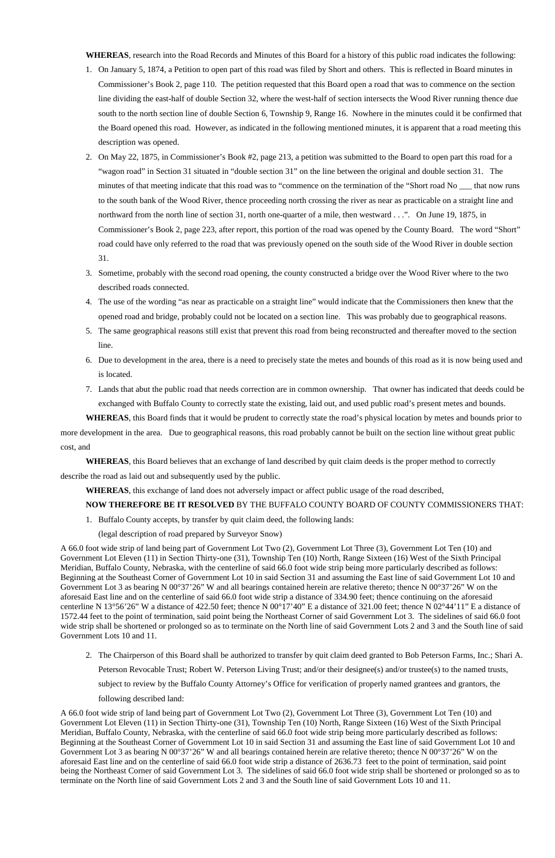**WHEREAS**, research into the Road Records and Minutes of this Board for a history of this public road indicates the following:

- 1. On January 5, 1874, a Petition to open part of this road was filed by Short and others. This is reflected in Board minutes in Commissioner's Book 2, page 110. The petition requested that this Board open a road that was to commence on the section line dividing the east-half of double Section 32, where the west-half of section intersects the Wood River running thence due south to the north section line of double Section 6, Township 9, Range 16. Nowhere in the minutes could it be confirmed that the Board opened this road. However, as indicated in the following mentioned minutes, it is apparent that a road meeting this description was opened.
- 2. On May 22, 1875, in Commissioner's Book #2, page 213, a petition was submitted to the Board to open part this road for a "wagon road" in Section 31 situated in "double section 31" on the line between the original and double section 31. The minutes of that meeting indicate that this road was to "commence on the termination of the "Short road No \_\_\_ that now runs to the south bank of the Wood River, thence proceeding north crossing the river as near as practicable on a straight line and northward from the north line of section 31, north one-quarter of a mile, then westward . . .". On June 19, 1875, in Commissioner's Book 2, page 223, after report, this portion of the road was opened by the County Board. The word "Short" road could have only referred to the road that was previously opened on the south side of the Wood River in double section 31.
- 3. Sometime, probably with the second road opening, the county constructed a bridge over the Wood River where to the two described roads connected.
- 4. The use of the wording "as near as practicable on a straight line" would indicate that the Commissioners then knew that the opened road and bridge, probably could not be located on a section line. This was probably due to geographical reasons.
- 5. The same geographical reasons still exist that prevent this road from being reconstructed and thereafter moved to the section line.
- 6. Due to development in the area, there is a need to precisely state the metes and bounds of this road as it is now being used and is located.
- 7. Lands that abut the public road that needs correction are in common ownership. That owner has indicated that deeds could be exchanged with Buffalo County to correctly state the existing, laid out, and used public road's present metes and bounds.

**WHEREAS**, this Board finds that it would be prudent to correctly state the road's physical location by metes and bounds prior to more development in the area. Due to geographical reasons, this road probably cannot be built on the section line without great public cost, and

**WHEREAS**, this Board believes that an exchange of land described by quit claim deeds is the proper method to correctly

describe the road as laid out and subsequently used by the public.

**WHEREAS**, this exchange of land does not adversely impact or affect public usage of the road described,

### **NOW THEREFORE BE IT RESOLVED** BY THE BUFFALO COUNTY BOARD OF COUNTY COMMISSIONERS THAT:

1. Buffalo County accepts, by transfer by quit claim deed, the following lands:

(legal description of road prepared by Surveyor Snow)

A 66.0 foot wide strip of land being part of Government Lot Two (2), Government Lot Three (3), Government Lot Ten (10) and Government Lot Eleven (11) in Section Thirty-one (31), Township Ten (10) North, Range Sixteen (16) West of the Sixth Principal Meridian, Buffalo County, Nebraska, with the centerline of said 66.0 foot wide strip being more particularly described as follows: Beginning at the Southeast Corner of Government Lot 10 in said Section 31 and assuming the East line of said Government Lot 10 and Government Lot 3 as bearing N 00°37'26" W and all bearings contained herein are relative thereto; thence N 00°37'26" W on the aforesaid East line and on the centerline of said 66.0 foot wide strip a distance of 334.90 feet; thence continuing on the aforesaid centerline N 13°56'26" W a distance of 422.50 feet; thence N 00°17'40" E a distance of 321.00 feet; thence N 02°44'11" E a distance of 1572.44 feet to the point of termination, said point being the Northeast Corner of said Government Lot 3. The sidelines of said 66.0 foot wide strip shall be shortened or prolonged so as to terminate on the North line of said Government Lots 2 and 3 and the South line of said

Government Lots 10 and 11.

2. The Chairperson of this Board shall be authorized to transfer by quit claim deed granted to Bob Peterson Farms, Inc.; Shari A. Peterson Revocable Trust; Robert W. Peterson Living Trust; and/or their designee(s) and/or trustee(s) to the named trusts, subject to review by the Buffalo County Attorney's Office for verification of properly named grantees and grantors, the following described land:

A 66.0 foot wide strip of land being part of Government Lot Two (2), Government Lot Three (3), Government Lot Ten (10) and Government Lot Eleven (11) in Section Thirty-one (31), Township Ten (10) North, Range Sixteen (16) West of the Sixth Principal Meridian, Buffalo County, Nebraska, with the centerline of said 66.0 foot wide strip being more particularly described as follows: Beginning at the Southeast Corner of Government Lot 10 in said Section 31 and assuming the East line of said Government Lot 10 and Government Lot 3 as bearing N 00°37'26" W and all bearings contained herein are relative thereto; thence N 00°37'26" W on the aforesaid East line and on the centerline of said 66.0 foot wide strip a distance of 2636.73 feet to the point of termination, said point being the Northeast Corner of said Government Lot 3. The sidelines of said 66.0 foot wide strip shall be shortened or prolonged so as to terminate on the North line of said Government Lots 2 and 3 and the South line of said Government Lots 10 and 11.